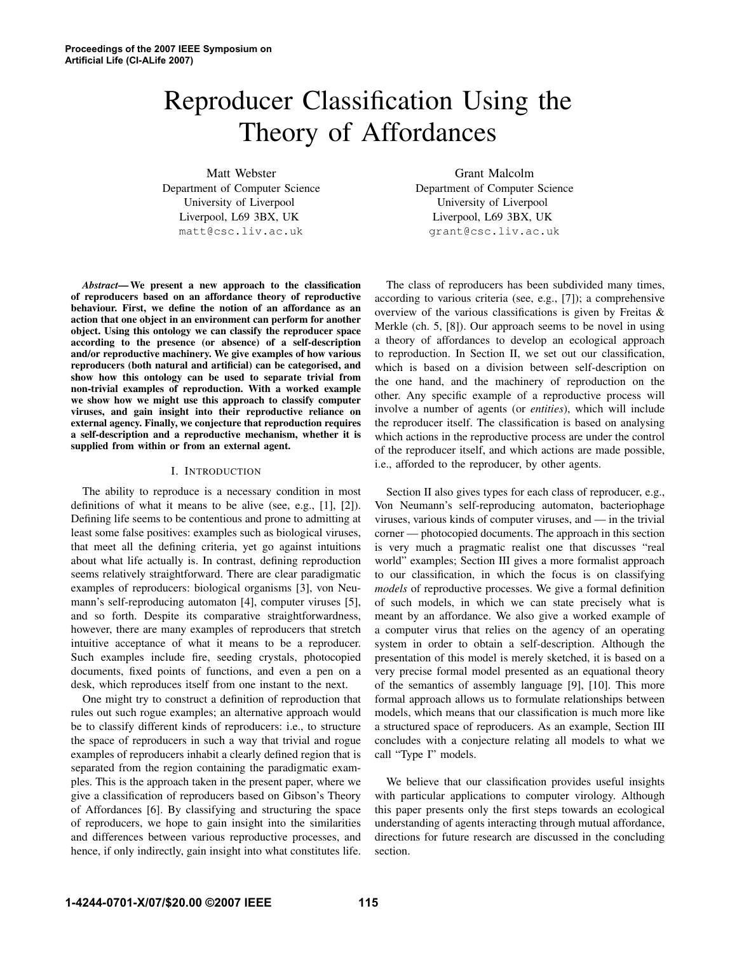# Reproducer Classification Using the Theory of Affordances

Matt Webster Department of Computer Science University of Liverpool Liverpool, L69 3BX, UK matt@csc.liv.ac.uk

*Abstract***—We present a new approach to the classification of reproducers based on an affordance theory of reproductive behaviour. First, we define the notion of an affordance as an action that one object in an environment can perform for another object. Using this ontology we can classify the reproducer space according to the presence (or absence) of a self-description and/or reproductive machinery. We give examples of how various reproducers (both natural and artificial) can be categorised, and show how this ontology can be used to separate trivial from non-trivial examples of reproduction. With a worked example we show how we might use this approach to classify computer viruses, and gain insight into their reproductive reliance on external agency. Finally, we conjecture that reproduction requires a self-description and a reproductive mechanism, whether it is supplied from within or from an external agent.**

## I. INTRODUCTION

The ability to reproduce is a necessary condition in most definitions of what it means to be alive (see, e.g., [1], [2]). Defining life seems to be contentious and prone to admitting at least some false positives: examples such as biological viruses, that meet all the defining criteria, yet go against intuitions about what life actually is. In contrast, defining reproduction seems relatively straightforward. There are clear paradigmatic examples of reproducers: biological organisms [3], von Neumann's self-reproducing automaton [4], computer viruses [5], and so forth. Despite its comparative straightforwardness, however, there are many examples of reproducers that stretch intuitive acceptance of what it means to be a reproducer. Such examples include fire, seeding crystals, photocopied documents, fixed points of functions, and even a pen on a desk, which reproduces itself from one instant to the next.

One might try to construct a definition of reproduction that rules out such rogue examples; an alternative approach would be to classify different kinds of reproducers: i.e., to structure the space of reproducers in such a way that trivial and rogue examples of reproducers inhabit a clearly defined region that is separated from the region containing the paradigmatic examples. This is the approach taken in the present paper, where we give a classification of reproducers based on Gibson's Theory of Affordances [6]. By classifying and structuring the space of reproducers, we hope to gain insight into the similarities and differences between various reproductive processes, and hence, if only indirectly, gain insight into what constitutes life.

Grant Malcolm Department of Computer Science University of Liverpool Liverpool, L69 3BX, UK grant@csc.liv.ac.uk

The class of reproducers has been subdivided many times, according to various criteria (see, e.g., [7]); a comprehensive overview of the various classifications is given by Freitas & Merkle (ch. 5, [8]). Our approach seems to be novel in using a theory of affordances to develop an ecological approach to reproduction. In Section II, we set out our classification, which is based on a division between self-description on the one hand, and the machinery of reproduction on the other. Any specific example of a reproductive process will involve a number of agents (or *entities*), which will include the reproducer itself. The classification is based on analysing which actions in the reproductive process are under the control of the reproducer itself, and which actions are made possible, i.e., afforded to the reproducer, by other agents.

Section II also gives types for each class of reproducer, e.g., Von Neumann's self-reproducing automaton, bacteriophage viruses, various kinds of computer viruses, and — in the trivial corner — photocopied documents. The approach in this section is very much a pragmatic realist one that discusses "real world" examples; Section III gives a more formalist approach to our classification, in which the focus is on classifying *models* of reproductive processes. We give a formal definition of such models, in which we can state precisely what is meant by an affordance. We also give a worked example of a computer virus that relies on the agency of an operating system in order to obtain a self-description. Although the presentation of this model is merely sketched, it is based on a very precise formal model presented as an equational theory of the semantics of assembly language [9], [10]. This more formal approach allows us to formulate relationships between models, which means that our classification is much more like a structured space of reproducers. As an example, Section III concludes with a conjecture relating all models to what we call "Type I" models.

We believe that our classification provides useful insights with particular applications to computer virology. Although this paper presents only the first steps towards an ecological understanding of agents interacting through mutual affordance, directions for future research are discussed in the concluding section.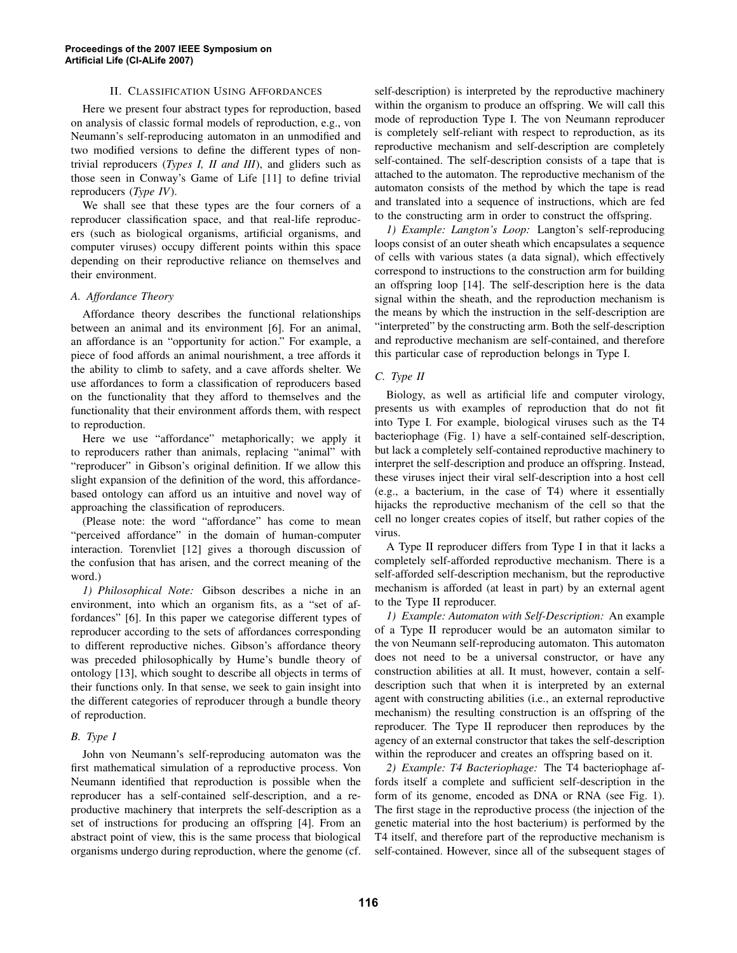# II. CLASSIFICATION USING AFFORDANCES

Here we present four abstract types for reproduction, based on analysis of classic formal models of reproduction, e.g., von Neumann's self-reproducing automaton in an unmodified and two modified versions to define the different types of nontrivial reproducers (*Types I, II and III*), and gliders such as those seen in Conway's Game of Life [11] to define trivial reproducers (*Type IV*).

We shall see that these types are the four corners of a reproducer classification space, and that real-life reproducers (such as biological organisms, artificial organisms, and computer viruses) occupy different points within this space depending on their reproductive reliance on themselves and their environment.

## *A. Affordance Theory*

Affordance theory describes the functional relationships between an animal and its environment [6]. For an animal, an affordance is an "opportunity for action." For example, a piece of food affords an animal nourishment, a tree affords it the ability to climb to safety, and a cave affords shelter. We use affordances to form a classification of reproducers based on the functionality that they afford to themselves and the functionality that their environment affords them, with respect to reproduction.

Here we use "affordance" metaphorically; we apply it to reproducers rather than animals, replacing "animal" with "reproducer" in Gibson's original definition. If we allow this slight expansion of the definition of the word, this affordancebased ontology can afford us an intuitive and novel way of approaching the classification of reproducers.

(Please note: the word "affordance" has come to mean "perceived affordance" in the domain of human-computer interaction. Torenvliet [12] gives a thorough discussion of the confusion that has arisen, and the correct meaning of the word.)

*1) Philosophical Note:* Gibson describes a niche in an environment, into which an organism fits, as a "set of affordances" [6]. In this paper we categorise different types of reproducer according to the sets of affordances corresponding to different reproductive niches. Gibson's affordance theory was preceded philosophically by Hume's bundle theory of ontology [13], which sought to describe all objects in terms of their functions only. In that sense, we seek to gain insight into the different categories of reproducer through a bundle theory of reproduction.

## *B. Type I*

John von Neumann's self-reproducing automaton was the first mathematical simulation of a reproductive process. Von Neumann identified that reproduction is possible when the reproducer has a self-contained self-description, and a reproductive machinery that interprets the self-description as a set of instructions for producing an offspring [4]. From an abstract point of view, this is the same process that biological organisms undergo during reproduction, where the genome (cf.

self-description) is interpreted by the reproductive machinery within the organism to produce an offspring. We will call this mode of reproduction Type I. The von Neumann reproducer is completely self-reliant with respect to reproduction, as its reproductive mechanism and self-description are completely self-contained. The self-description consists of a tape that is attached to the automaton. The reproductive mechanism of the automaton consists of the method by which the tape is read and translated into a sequence of instructions, which are fed to the constructing arm in order to construct the offspring.

*1) Example: Langton's Loop:* Langton's self-reproducing loops consist of an outer sheath which encapsulates a sequence of cells with various states (a data signal), which effectively correspond to instructions to the construction arm for building an offspring loop [14]. The self-description here is the data signal within the sheath, and the reproduction mechanism is the means by which the instruction in the self-description are "interpreted" by the constructing arm. Both the self-description and reproductive mechanism are self-contained, and therefore this particular case of reproduction belongs in Type I.

# *C. Type II*

Biology, as well as artificial life and computer virology, presents us with examples of reproduction that do not fit into Type I. For example, biological viruses such as the T4 bacteriophage (Fig. 1) have a self-contained self-description, but lack a completely self-contained reproductive machinery to interpret the self-description and produce an offspring. Instead, these viruses inject their viral self-description into a host cell (e.g., a bacterium, in the case of T4) where it essentially hijacks the reproductive mechanism of the cell so that the cell no longer creates copies of itself, but rather copies of the virus.

A Type II reproducer differs from Type I in that it lacks a completely self-afforded reproductive mechanism. There is a self-afforded self-description mechanism, but the reproductive mechanism is afforded (at least in part) by an external agent to the Type II reproducer.

*1) Example: Automaton with Self-Description:* An example of a Type II reproducer would be an automaton similar to the von Neumann self-reproducing automaton. This automaton does not need to be a universal constructor, or have any construction abilities at all. It must, however, contain a selfdescription such that when it is interpreted by an external agent with constructing abilities (i.e., an external reproductive mechanism) the resulting construction is an offspring of the reproducer. The Type II reproducer then reproduces by the agency of an external constructor that takes the self-description within the reproducer and creates an offspring based on it.

*2) Example: T4 Bacteriophage:* The T4 bacteriophage affords itself a complete and sufficient self-description in the form of its genome, encoded as DNA or RNA (see Fig. 1). The first stage in the reproductive process (the injection of the genetic material into the host bacterium) is performed by the T4 itself, and therefore part of the reproductive mechanism is self-contained. However, since all of the subsequent stages of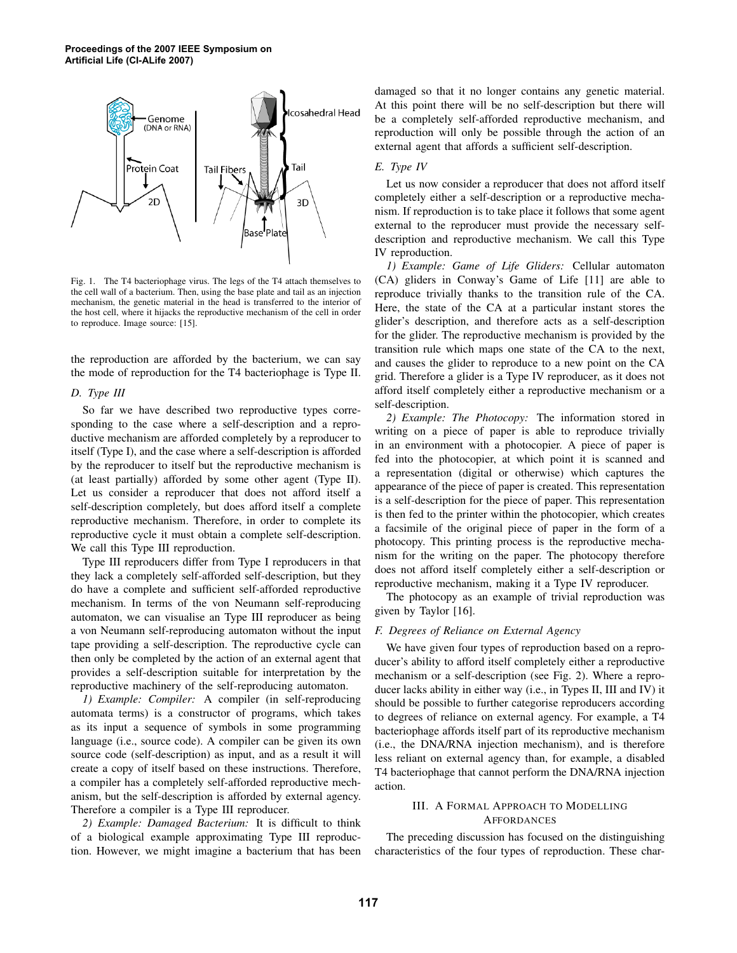

Fig. 1. The T4 bacteriophage virus. The legs of the T4 attach themselves to the cell wall of a bacterium. Then, using the base plate and tail as an injection mechanism, the genetic material in the head is transferred to the interior of the host cell, where it hijacks the reproductive mechanism of the cell in order to reproduce. Image source: [15].

the reproduction are afforded by the bacterium, we can say the mode of reproduction for the T4 bacteriophage is Type II.

# *D. Type III*

So far we have described two reproductive types corresponding to the case where a self-description and a reproductive mechanism are afforded completely by a reproducer to itself (Type I), and the case where a self-description is afforded by the reproducer to itself but the reproductive mechanism is (at least partially) afforded by some other agent (Type II). Let us consider a reproducer that does not afford itself a self-description completely, but does afford itself a complete reproductive mechanism. Therefore, in order to complete its reproductive cycle it must obtain a complete self-description. We call this Type III reproduction.

Type III reproducers differ from Type I reproducers in that they lack a completely self-afforded self-description, but they do have a complete and sufficient self-afforded reproductive mechanism. In terms of the von Neumann self-reproducing automaton, we can visualise an Type III reproducer as being a von Neumann self-reproducing automaton without the input tape providing a self-description. The reproductive cycle can then only be completed by the action of an external agent that provides a self-description suitable for interpretation by the reproductive machinery of the self-reproducing automaton.

*1) Example: Compiler:* A compiler (in self-reproducing automata terms) is a constructor of programs, which takes as its input a sequence of symbols in some programming language (i.e., source code). A compiler can be given its own source code (self-description) as input, and as a result it will create a copy of itself based on these instructions. Therefore, a compiler has a completely self-afforded reproductive mechanism, but the self-description is afforded by external agency. Therefore a compiler is a Type III reproducer.

*2) Example: Damaged Bacterium:* It is difficult to think of a biological example approximating Type III reproduction. However, we might imagine a bacterium that has been

damaged so that it no longer contains any genetic material. At this point there will be no self-description but there will be a completely self-afforded reproductive mechanism, and reproduction will only be possible through the action of an external agent that affords a sufficient self-description.

# *E. Type IV*

Let us now consider a reproducer that does not afford itself completely either a self-description or a reproductive mechanism. If reproduction is to take place it follows that some agent external to the reproducer must provide the necessary selfdescription and reproductive mechanism. We call this Type IV reproduction.

*1) Example: Game of Life Gliders:* Cellular automaton (CA) gliders in Conway's Game of Life [11] are able to reproduce trivially thanks to the transition rule of the CA. Here, the state of the CA at a particular instant stores the glider's description, and therefore acts as a self-description for the glider. The reproductive mechanism is provided by the transition rule which maps one state of the CA to the next, and causes the glider to reproduce to a new point on the CA grid. Therefore a glider is a Type IV reproducer, as it does not afford itself completely either a reproductive mechanism or a self-description.

*2) Example: The Photocopy:* The information stored in writing on a piece of paper is able to reproduce trivially in an environment with a photocopier. A piece of paper is fed into the photocopier, at which point it is scanned and a representation (digital or otherwise) which captures the appearance of the piece of paper is created. This representation is a self-description for the piece of paper. This representation is then fed to the printer within the photocopier, which creates a facsimile of the original piece of paper in the form of a photocopy. This printing process is the reproductive mechanism for the writing on the paper. The photocopy therefore does not afford itself completely either a self-description or reproductive mechanism, making it a Type IV reproducer.

The photocopy as an example of trivial reproduction was given by Taylor [16].

# *F. Degrees of Reliance on External Agency*

We have given four types of reproduction based on a reproducer's ability to afford itself completely either a reproductive mechanism or a self-description (see Fig. 2). Where a reproducer lacks ability in either way (i.e., in Types II, III and IV) it should be possible to further categorise reproducers according to degrees of reliance on external agency. For example, a T4 bacteriophage affords itself part of its reproductive mechanism (i.e., the DNA/RNA injection mechanism), and is therefore less reliant on external agency than, for example, a disabled T4 bacteriophage that cannot perform the DNA/RNA injection action.

# III. A FORMAL APPROACH TO MODELLING **AFFORDANCES**

The preceding discussion has focused on the distinguishing characteristics of the four types of reproduction. These char-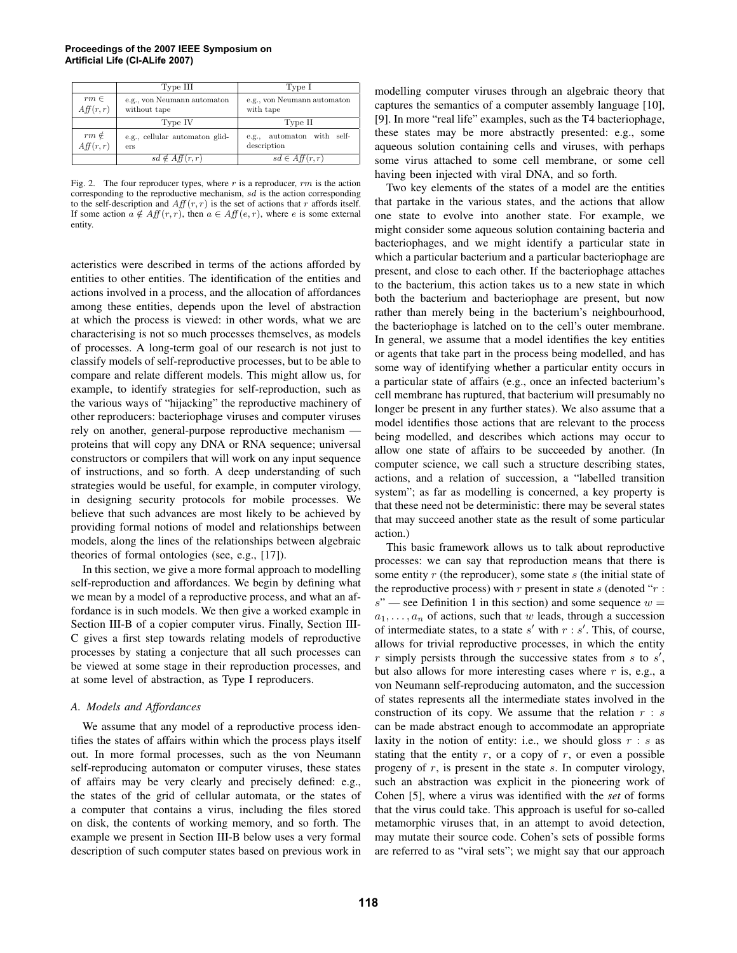#### **Proceedings of the 2007 IEEE Symposium on Artificial Life (CI-ALife 2007)**

|                         | Type III                                    | Type I                                    |
|-------------------------|---------------------------------------------|-------------------------------------------|
| $rm \in$<br>Aff(r,r)    | e.g., von Neumann automaton<br>without tape | e.g., von Neumann automaton<br>with tape  |
|                         | Type IV                                     | Type II                                   |
| $rm \notin$<br>Aff(r,r) | e.g., cellular automaton glid-<br>ers       | e.g., automaton with self-<br>description |
|                         | $sd \notin Aff(r,r)$                        | $sd \in Aff(r,r)$                         |

Fig. 2. The four reproducer types, where  $r$  is a reproducer,  $rm$  is the action corresponding to the reproductive mechanism, sd is the action corresponding to the self-description and  $Aff(r, r)$  is the set of actions that r affords itself. If some action  $a \notin Aff(r, r)$ , then  $a \in Aff(e, r)$ , where e is some external entity.

acteristics were described in terms of the actions afforded by entities to other entities. The identification of the entities and actions involved in a process, and the allocation of affordances among these entities, depends upon the level of abstraction at which the process is viewed: in other words, what we are characterising is not so much processes themselves, as models of processes. A long-term goal of our research is not just to classify models of self-reproductive processes, but to be able to compare and relate different models. This might allow us, for example, to identify strategies for self-reproduction, such as the various ways of "hijacking" the reproductive machinery of other reproducers: bacteriophage viruses and computer viruses rely on another, general-purpose reproductive mechanism proteins that will copy any DNA or RNA sequence; universal constructors or compilers that will work on any input sequence of instructions, and so forth. A deep understanding of such strategies would be useful, for example, in computer virology, in designing security protocols for mobile processes. We believe that such advances are most likely to be achieved by providing formal notions of model and relationships between models, along the lines of the relationships between algebraic theories of formal ontologies (see, e.g., [17]).

In this section, we give a more formal approach to modelling self-reproduction and affordances. We begin by defining what we mean by a model of a reproductive process, and what an affordance is in such models. We then give a worked example in Section III-B of a copier computer virus. Finally, Section III-C gives a first step towards relating models of reproductive processes by stating a conjecture that all such processes can be viewed at some stage in their reproduction processes, and at some level of abstraction, as Type I reproducers.

## *A. Models and Affordances*

We assume that any model of a reproductive process identifies the states of affairs within which the process plays itself out. In more formal processes, such as the von Neumann self-reproducing automaton or computer viruses, these states of affairs may be very clearly and precisely defined: e.g., the states of the grid of cellular automata, or the states of a computer that contains a virus, including the files stored on disk, the contents of working memory, and so forth. The example we present in Section III-B below uses a very formal description of such computer states based on previous work in modelling computer viruses through an algebraic theory that captures the semantics of a computer assembly language [10], [9]. In more "real life" examples, such as the T4 bacteriophage, these states may be more abstractly presented: e.g., some aqueous solution containing cells and viruses, with perhaps some virus attached to some cell membrane, or some cell having been injected with viral DNA, and so forth.

Two key elements of the states of a model are the entities that partake in the various states, and the actions that allow one state to evolve into another state. For example, we might consider some aqueous solution containing bacteria and bacteriophages, and we might identify a particular state in which a particular bacterium and a particular bacteriophage are present, and close to each other. If the bacteriophage attaches to the bacterium, this action takes us to a new state in which both the bacterium and bacteriophage are present, but now rather than merely being in the bacterium's neighbourhood, the bacteriophage is latched on to the cell's outer membrane. In general, we assume that a model identifies the key entities or agents that take part in the process being modelled, and has some way of identifying whether a particular entity occurs in a particular state of affairs (e.g., once an infected bacterium's cell membrane has ruptured, that bacterium will presumably no longer be present in any further states). We also assume that a model identifies those actions that are relevant to the process being modelled, and describes which actions may occur to allow one state of affairs to be succeeded by another. (In computer science, we call such a structure describing states, actions, and a relation of succession, a "labelled transition system"; as far as modelling is concerned, a key property is that these need not be deterministic: there may be several states that may succeed another state as the result of some particular action.)

This basic framework allows us to talk about reproductive processes: we can say that reproduction means that there is some entity  $r$  (the reproducer), some state  $s$  (the initial state of the reproductive process) with  $r$  present in state  $s$  (denoted " $r$ :  $s$ " — see Definition 1 in this section) and some sequence  $w =$  $a_1, \ldots, a_n$  of actions, such that w leads, through a succession of intermediate states, to a state  $s'$  with  $r : s'$ . This, of course, allows for trivial reproductive processes, in which the entity  $r$  simply persists through the successive states from  $s$  to  $s'$ , but also allows for more interesting cases where  $r$  is, e.g., a von Neumann self-reproducing automaton, and the succession of states represents all the intermediate states involved in the construction of its copy. We assume that the relation  $r : s$ can be made abstract enough to accommodate an appropriate laxity in the notion of entity: i.e., we should gloss  $r : s$  as stating that the entity  $r$ , or a copy of  $r$ , or even a possible progeny of  $r$ , is present in the state  $s$ . In computer virology, such an abstraction was explicit in the pioneering work of Cohen [5], where a virus was identified with the *set* of forms that the virus could take. This approach is useful for so-called metamorphic viruses that, in an attempt to avoid detection, may mutate their source code. Cohen's sets of possible forms are referred to as "viral sets"; we might say that our approach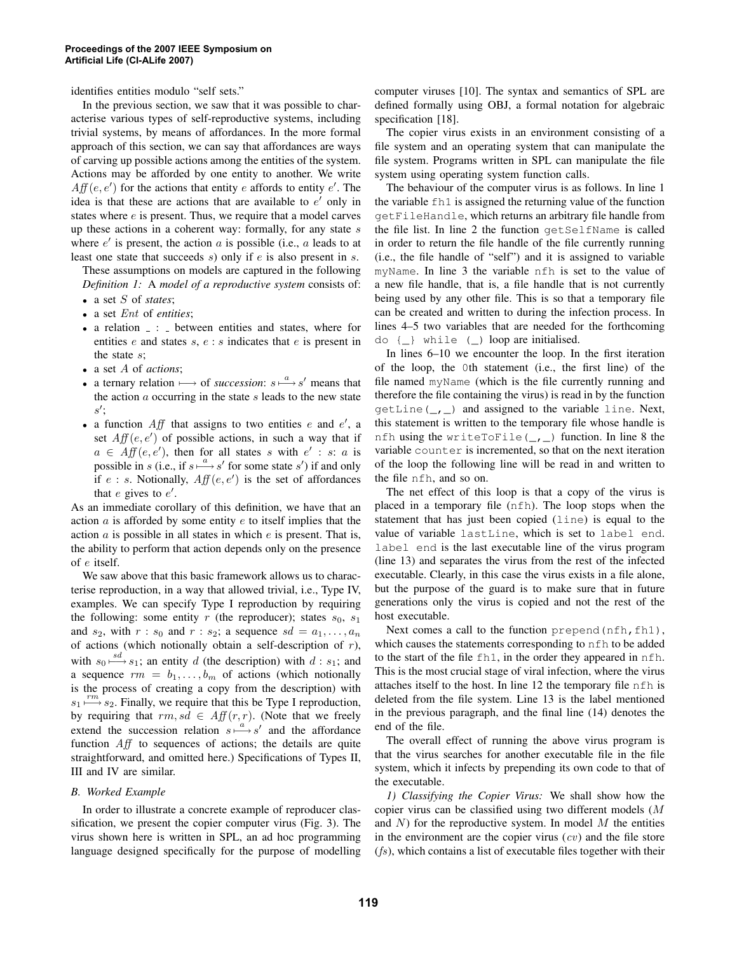identifies entities modulo "self sets."

In the previous section, we saw that it was possible to characterise various types of self-reproductive systems, including trivial systems, by means of affordances. In the more formal approach of this section, we can say that affordances are ways of carving up possible actions among the entities of the system. Actions may be afforded by one entity to another. We write  $Aff(e, e')$  for the actions that entity e affords to entity e'. The idea is that these are actions that are available to  $e'$  only in states where  $e$  is present. Thus, we require that a model carves up these actions in a coherent way: formally, for any state  $s$ where  $e'$  is present, the action  $\alpha$  is possible (i.e.,  $\alpha$  leads to at least one state that succeeds s) only if  $e$  is also present in  $s$ .

These assumptions on models are captured in the following *Definition 1:* A *model of a reproductive system* consists of:

- a set S of *states*;
- a set Ent of *entities*;
- a relation  $\Box$ : between entities and states, where for entities  $e$  and states  $s, e : s$  indicates that  $e$  is present in the state s;
- a set A of *actions*;
- a ternary relation  $\longmapsto$  of *succession*:  $s \stackrel{a}{\longmapsto} s'$  means that the action  $a$  occurring in the state  $s$  leads to the new state  $s^{\prime}$ ;
- a function  $Aff$  that assigns to two entities  $e$  and  $e'$ , a set  $Aff(e, e')$  of possible actions, in such a way that if  $a \in \hat{Aff}(e, e'),$  then for all states s with  $e' : s: a$  is possible in s (i.e., if  $s \stackrel{a}{\longmapsto} s'$  for some state s') if and only if  $e : s$ . Notionally,  $Aff(e, e')$  is the set of affordances that  $e$  gives to  $e'$ .

As an immediate corollary of this definition, we have that an action  $a$  is afforded by some entity  $e$  to itself implies that the action  $a$  is possible in all states in which  $e$  is present. That is, the ability to perform that action depends only on the presence of e itself.

We saw above that this basic framework allows us to characterise reproduction, in a way that allowed trivial, i.e., Type IV, examples. We can specify Type I reproduction by requiring the following: some entity r (the reproducer); states  $s_0$ ,  $s_1$ and  $s_2$ , with  $r : s_0$  and  $r : s_2$ ; a sequence  $sd = a_1, \ldots, a_n$ of actions (which notionally obtain a self-description of  $r$ ), with  $s_0 \stackrel{sd}{\longrightarrow} s_1$ ; an entity d (the description) with  $d : s_1$ ; and a sequence  $rm = b_1, \ldots, b_m$  of actions (which notionally is the process of creating a copy from the description) with  $s_1 \xrightarrow{rm} s_2$ . Finally, we require that this be Type I reproduction, by requiring that  $rm, sd \in Aff(r,r)$ . (Note that we freely extend the succession relation  $s \stackrel{a}{\longmapsto} s'$  and the affordance function  $Aff$  to sequences of actions; the details are quite straightforward, and omitted here.) Specifications of Types II, III and IV are similar.

## *B. Worked Example*

In order to illustrate a concrete example of reproducer classification, we present the copier computer virus (Fig. 3). The virus shown here is written in SPL, an ad hoc programming language designed specifically for the purpose of modelling computer viruses [10]. The syntax and semantics of SPL are defined formally using OBJ, a formal notation for algebraic specification [18].

The copier virus exists in an environment consisting of a file system and an operating system that can manipulate the file system. Programs written in SPL can manipulate the file system using operating system function calls.

The behaviour of the computer virus is as follows. In line 1 the variable fh1 is assigned the returning value of the function getFileHandle, which returns an arbitrary file handle from the file list. In line 2 the function getSelfName is called in order to return the file handle of the file currently running (i.e., the file handle of "self") and it is assigned to variable myName. In line 3 the variable nfh is set to the value of a new file handle, that is, a file handle that is not currently being used by any other file. This is so that a temporary file can be created and written to during the infection process. In lines 4–5 two variables that are needed for the forthcoming do {\_} while (\_) loop are initialised.

In lines 6–10 we encounter the loop. In the first iteration of the loop, the 0th statement (i.e., the first line) of the file named myName (which is the file currently running and therefore the file containing the virus) is read in by the function  $q$ etLine( $\_$ ,  $\_)$  and assigned to the variable line. Next, this statement is written to the temporary file whose handle is nfh using the writeToFile(\_,\_) function. In line 8 the variable counter is incremented, so that on the next iteration of the loop the following line will be read in and written to the file nfh, and so on.

The net effect of this loop is that a copy of the virus is placed in a temporary file (nfh). The loop stops when the statement that has just been copied (line) is equal to the value of variable lastLine, which is set to label end. label end is the last executable line of the virus program (line 13) and separates the virus from the rest of the infected executable. Clearly, in this case the virus exists in a file alone, but the purpose of the guard is to make sure that in future generations only the virus is copied and not the rest of the host executable.

Next comes a call to the function prepend (nfh, fh1), which causes the statements corresponding to nfh to be added to the start of the file fh1, in the order they appeared in nfh. This is the most crucial stage of viral infection, where the virus attaches itself to the host. In line 12 the temporary file nfh is deleted from the file system. Line 13 is the label mentioned in the previous paragraph, and the final line (14) denotes the end of the file.

The overall effect of running the above virus program is that the virus searches for another executable file in the file system, which it infects by prepending its own code to that of the executable.

*1) Classifying the Copier Virus:* We shall show how the copier virus can be classified using two different models (M and  $N$ ) for the reproductive system. In model  $M$  the entities in the environment are the copier virus  $(cv)$  and the file store  $(f<sub>s</sub>)$ , which contains a list of executable files together with their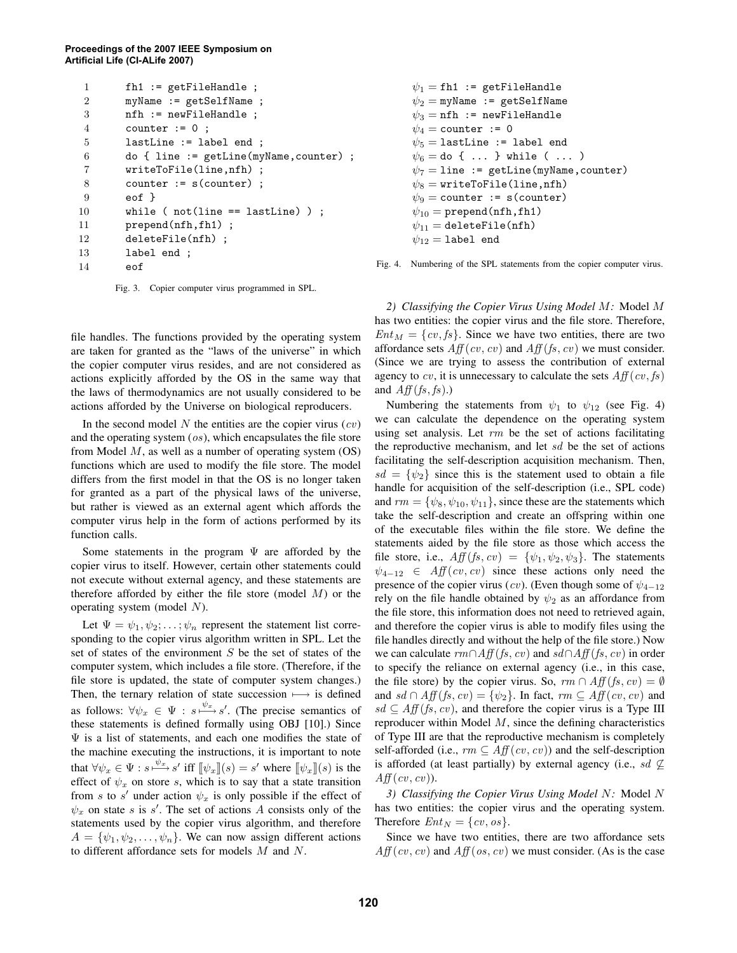#### **Proceedings of the 2007 IEEE Symposium on Artificial Life (CI-ALife 2007)**

```
1 fh1 := getFileHandle ;
2 myName := getSelfName ;
3 nfh := newFileHandle ;
4 counter := 0 ;
5 lastLine := label end ;
6 do { line := getLine(myName,counter) ;
7 writeToFile(line,nfh) ;
8 counter := s(counter) ;
9 eof }
10 while ( not (line == lastLine) ) ;
11 prepend(nfh,fh1) ;
12 deleteFile(nfh) ;
13 label end ;
14 eof
```
Fig. 3. Copier computer virus programmed in SPL.

file handles. The functions provided by the operating system are taken for granted as the "laws of the universe" in which the copier computer virus resides, and are not considered as actions explicitly afforded by the OS in the same way that the laws of thermodynamics are not usually considered to be actions afforded by the Universe on biological reproducers.

In the second model  $N$  the entities are the copier virus  $(cv)$ and the operating system  $(os)$ , which encapsulates the file store from Model  $M$ , as well as a number of operating system  $(OS)$ functions which are used to modify the file store. The model differs from the first model in that the OS is no longer taken for granted as a part of the physical laws of the universe, but rather is viewed as an external agent which affords the computer virus help in the form of actions performed by its function calls.

Some statements in the program  $\Psi$  are afforded by the copier virus to itself. However, certain other statements could not execute without external agency, and these statements are therefore afforded by either the file store (model  $M$ ) or the operating system (model  $N$ ).

Let  $\Psi = \psi_1, \psi_2; \dots; \psi_n$  represent the statement list corresponding to the copier virus algorithm written in SPL. Let the set of states of the environment  $S$  be the set of states of the computer system, which includes a file store. (Therefore, if the file store is updated, the state of computer system changes.) Then, the ternary relation of state succession  $\longmapsto$  is defined as follows:  $\forall \psi_x \in \Psi : s \xrightarrow{\psi_x} s'$ . (The precise semantics of these statements is defined formally using OBJ [10].) Since  $\Psi$  is a list of statements, and each one modifies the state of the machine executing the instructions, it is important to note that  $\forall \psi_x \in \Psi : s \xrightarrow{\psi_x} s'$  iff  $[\![\psi_x]\!] (s) = s'$  where  $[\![\psi_x]\!] (s)$  is the effect of  $\psi_x$  on store s, which is to say that a state transition from s to s' under action  $\psi_x$  is only possible if the effect of  $\psi_x$  on state s is s'. The set of actions A consists only of the statements used by the copier virus algorithm, and therefore  $A = \{\psi_1, \psi_2, \dots, \psi_n\}.$  We can now assign different actions to different affordance sets for models M and N.

```
\psi_1 = fh1 := getFileHandle
\psi_2 = myName := getSelfName
\psi_3 = nfh := newFileHandle
\psi_4 = counter := 0
\psi_5 = lastLine := label end
\psi_6 = do { ... } while ( ... )
\psi_7 = 1ine := getLine(myName, counter)
\psi_8 = writeToFile(line,nfh)
\psi_9 = counter := s(counter)
\psi_{10} = prepend(nfh,fh1)
\psi_{11} = delete\textrm{File}(\texttt{nfh})\psi_{12} = 1abel end
```


*2) Classifying the Copier Virus Using Model* M*:* Model M has two entities: the copier virus and the file store. Therefore,  $Ent_M = \{cv, fs\}$ . Since we have two entities, there are two affordance sets  $Aff(cv, cv)$  and  $Aff(fs, cv)$  we must consider. (Since we are trying to assess the contribution of external agency to cv, it is unnecessary to calculate the sets  $Aff(cv, fs)$ and  $Aff(fs, fs)$ .)

Numbering the statements from  $\psi_1$  to  $\psi_{12}$  (see Fig. 4) we can calculate the dependence on the operating system using set analysis. Let  $rm$  be the set of actions facilitating the reproductive mechanism, and let sd be the set of actions facilitating the self-description acquisition mechanism. Then,  $sd = {\psi_2}$  since this is the statement used to obtain a file handle for acquisition of the self-description (i.e., SPL code) and  $rm = {\psi_8, \psi_{10}, \psi_{11}}$ , since these are the statements which take the self-description and create an offspring within one of the executable files within the file store. We define the statements aided by the file store as those which access the file store, i.e.,  $Aff(f_5, cv) = \{\psi_1, \psi_2, \psi_3\}$ . The statements  $\psi_{4-12} \in Aff(cv, cv)$  since these actions only need the presence of the copier virus (cv). (Even though some of  $\psi_{4-12}$ rely on the file handle obtained by  $\psi_2$  as an affordance from the file store, this information does not need to retrieved again, and therefore the copier virus is able to modify files using the file handles directly and without the help of the file store.) Now we can calculate  $rm∩Aff(fs, cv)$  and  $sd∩Aff(fs, cv)$  in order to specify the reliance on external agency (i.e., in this case, the file store) by the copier virus. So,  $rm \cap Aff(f_8, cv) = \emptyset$ and sd  $\cap$  Aff  $(f_s, cv) = \{\psi_2\}$ . In fact,  $rm \subseteq Aff(cv, cv)$  and  $sd \subseteq Aff(fs, cv)$ , and therefore the copier virus is a Type III reproducer within Model  $M$ , since the defining characteristics of Type III are that the reproductive mechanism is completely self-afforded (i.e.,  $rm \subseteq Aff(cv, cv)$ ) and the self-description is afforded (at least partially) by external agency (i.e., sd  $\nsubseteq$  $Aff(cv, cv)$ ).

*3) Classifying the Copier Virus Using Model* N*:* Model N has two entities: the copier virus and the operating system. Therefore  $Ent_N = \{cv, os\}.$ 

Since we have two entities, there are two affordance sets  $Aff(cv, cv)$  and  $Aff(os, cv)$  we must consider. (As is the case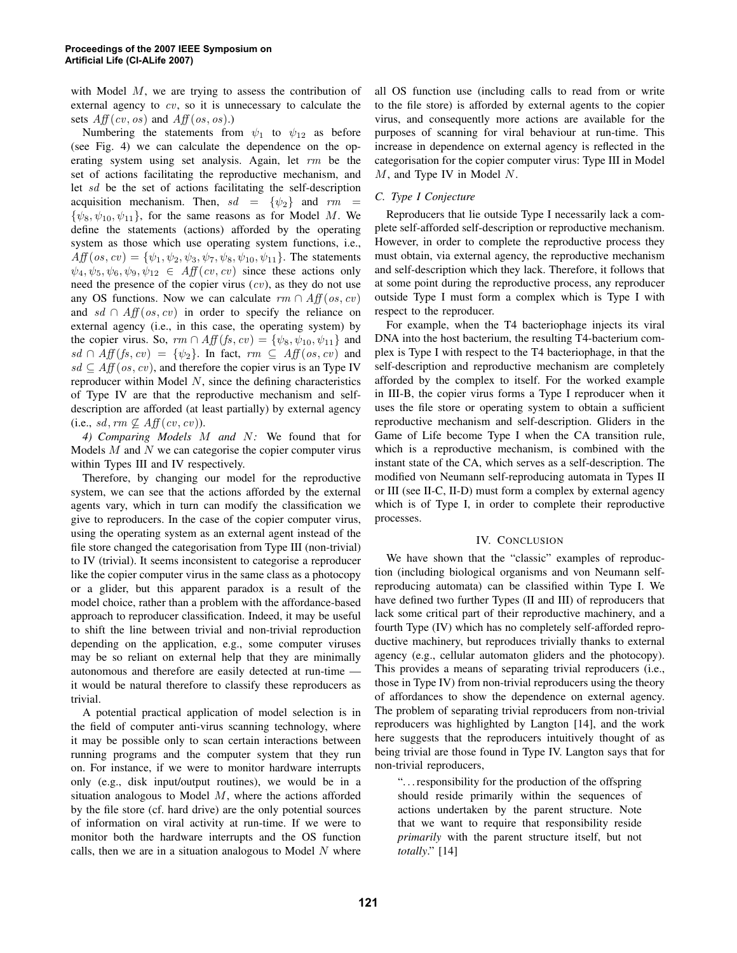with Model  $M$ , we are trying to assess the contribution of external agency to  $cv$ , so it is unnecessary to calculate the sets  $Aff(cv, os)$  and  $Aff(os, os)$ .)

Numbering the statements from  $\psi_1$  to  $\psi_{12}$  as before (see Fig. 4) we can calculate the dependence on the operating system using set analysis. Again, let rm be the set of actions facilitating the reproductive mechanism, and let sd be the set of actions facilitating the self-description acquisition mechanism. Then,  $sd = {\psi_2}$  and rm  $\{\psi_8,\psi_{10},\psi_{11}\}\,$  for the same reasons as for Model M. We define the statements (actions) afforded by the operating system as those which use operating system functions, i.e.,  $Aff(\omega s, cv) = {\psi_1, \psi_2, \psi_3, \psi_7, \psi_8, \psi_{10}, \psi_{11}}$ . The statements  $\psi_4, \psi_5, \psi_6, \psi_9, \psi_{12} \in Aff(cv, cv)$  since these actions only need the presence of the copier virus  $(cv)$ , as they do not use any OS functions. Now we can calculate  $rm \cap Aff(os, cv)$ and sd ∩  $Aff(os, cv)$  in order to specify the reliance on external agency (i.e., in this case, the operating system) by the copier virus. So,  $rm \cap Aff(f_5, cv) = {\psi_8, \psi_{10}, \psi_{11}}$  and  $sd \cap Aff(f_5, cv) = \{\psi_2\}.$  In fact,  $rm \subseteq Aff(os, cv)$  and  $sd \subseteq Aff(\mathfrak{os},\mathfrak{cv})$ , and therefore the copier virus is an Type IV reproducer within Model  $N$ , since the defining characteristics of Type IV are that the reproductive mechanism and selfdescription are afforded (at least partially) by external agency (i.e., sd,  $rm \not\subseteq Aff(cv, cv)$ ).

*4) Comparing Models* M *and* N*:* We found that for Models  $M$  and  $N$  we can categorise the copier computer virus within Types III and IV respectively.

Therefore, by changing our model for the reproductive system, we can see that the actions afforded by the external agents vary, which in turn can modify the classification we give to reproducers. In the case of the copier computer virus, using the operating system as an external agent instead of the file store changed the categorisation from Type III (non-trivial) to IV (trivial). It seems inconsistent to categorise a reproducer like the copier computer virus in the same class as a photocopy or a glider, but this apparent paradox is a result of the model choice, rather than a problem with the affordance-based approach to reproducer classification. Indeed, it may be useful to shift the line between trivial and non-trivial reproduction depending on the application, e.g., some computer viruses may be so reliant on external help that they are minimally autonomous and therefore are easily detected at run-time it would be natural therefore to classify these reproducers as trivial.

A potential practical application of model selection is in the field of computer anti-virus scanning technology, where it may be possible only to scan certain interactions between running programs and the computer system that they run on. For instance, if we were to monitor hardware interrupts only (e.g., disk input/output routines), we would be in a situation analogous to Model  $M$ , where the actions afforded by the file store (cf. hard drive) are the only potential sources of information on viral activity at run-time. If we were to monitor both the hardware interrupts and the OS function calls, then we are in a situation analogous to Model  $N$  where

all OS function use (including calls to read from or write to the file store) is afforded by external agents to the copier virus, and consequently more actions are available for the purposes of scanning for viral behaviour at run-time. This increase in dependence on external agency is reflected in the categorisation for the copier computer virus: Type III in Model M, and Type IV in Model N.

# *C. Type I Conjecture*

Reproducers that lie outside Type I necessarily lack a complete self-afforded self-description or reproductive mechanism. However, in order to complete the reproductive process they must obtain, via external agency, the reproductive mechanism and self-description which they lack. Therefore, it follows that at some point during the reproductive process, any reproducer outside Type I must form a complex which is Type I with respect to the reproducer.

For example, when the T4 bacteriophage injects its viral DNA into the host bacterium, the resulting T4-bacterium complex is Type I with respect to the T4 bacteriophage, in that the self-description and reproductive mechanism are completely afforded by the complex to itself. For the worked example in III-B, the copier virus forms a Type I reproducer when it uses the file store or operating system to obtain a sufficient reproductive mechanism and self-description. Gliders in the Game of Life become Type I when the CA transition rule, which is a reproductive mechanism, is combined with the instant state of the CA, which serves as a self-description. The modified von Neumann self-reproducing automata in Types II or III (see II-C, II-D) must form a complex by external agency which is of Type I, in order to complete their reproductive processes.

## IV. CONCLUSION

We have shown that the "classic" examples of reproduction (including biological organisms and von Neumann selfreproducing automata) can be classified within Type I. We have defined two further Types (II and III) of reproducers that lack some critical part of their reproductive machinery, and a fourth Type (IV) which has no completely self-afforded reproductive machinery, but reproduces trivially thanks to external agency (e.g., cellular automaton gliders and the photocopy). This provides a means of separating trivial reproducers (i.e., those in Type IV) from non-trivial reproducers using the theory of affordances to show the dependence on external agency. The problem of separating trivial reproducers from non-trivial reproducers was highlighted by Langton [14], and the work here suggests that the reproducers intuitively thought of as being trivial are those found in Type IV. Langton says that for non-trivial reproducers,

". . . responsibility for the production of the offspring should reside primarily within the sequences of actions undertaken by the parent structure. Note that we want to require that responsibility reside *primarily* with the parent structure itself, but not *totally*." [14]